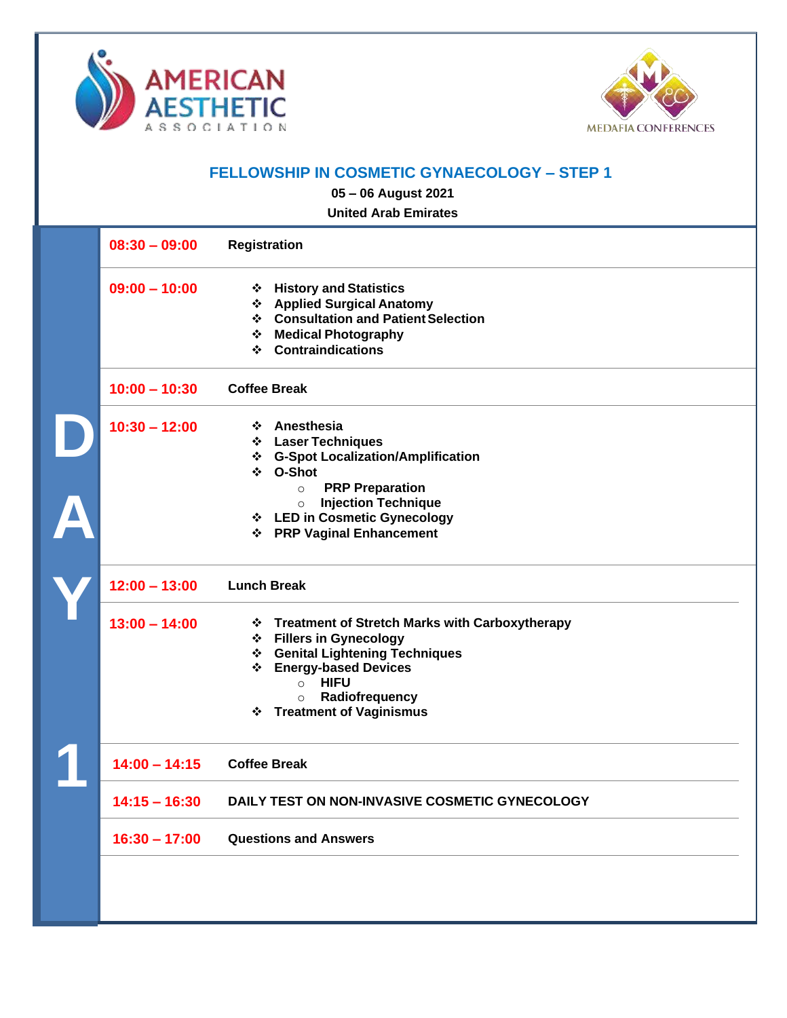



## **FELLOWSHIP IN COSMETIC GYNAECOLOGY – STEP 1**

**05 – 06 August 2021**

**United Arab Emirates**

| $08:30 - 09:00$ | Registration                                                                                                                                                                                                                                               |
|-----------------|------------------------------------------------------------------------------------------------------------------------------------------------------------------------------------------------------------------------------------------------------------|
| $09:00 - 10:00$ | ❖ History and Statistics<br>❖ Applied Surgical Anatomy<br>❖ Consultation and Patient Selection<br>❖ Medical Photography<br><b>Contraindications</b><br>❖                                                                                                   |
| $10:00 - 10:30$ | <b>Coffee Break</b>                                                                                                                                                                                                                                        |
| $10:30 - 12:00$ | ❖ Anesthesia<br><b>Laser Techniques</b><br>❖<br><b>G-Spot Localization/Amplification</b><br>❖<br>O-Shot<br>❖<br><b>PRP Preparation</b><br>$\circ$<br><b>Injection Technique</b><br>$\circ$<br>❖ LED in Cosmetic Gynecology<br>❖ PRP Vaginal Enhancement    |
| $12:00 - 13:00$ | <b>Lunch Break</b>                                                                                                                                                                                                                                         |
| $13:00 - 14:00$ | ❖ Treatment of Stretch Marks with Carboxytherapy<br>❖ Fillers in Gynecology<br><b>Genital Lightening Techniques</b><br>❖<br><b>Energy-based Devices</b><br>❖<br><b>HIFU</b><br>$\circ$<br>Radiofrequency<br>$\circ$<br><b>Treatment of Vaginismus</b><br>❖ |
| $14:00 - 14:15$ | <b>Coffee Break</b>                                                                                                                                                                                                                                        |
| $14:15 - 16:30$ | DAILY TEST ON NON-INVASIVE COSMETIC GYNECOLOGY                                                                                                                                                                                                             |
| $16:30 - 17:00$ | <b>Questions and Answers</b>                                                                                                                                                                                                                               |
|                 |                                                                                                                                                                                                                                                            |